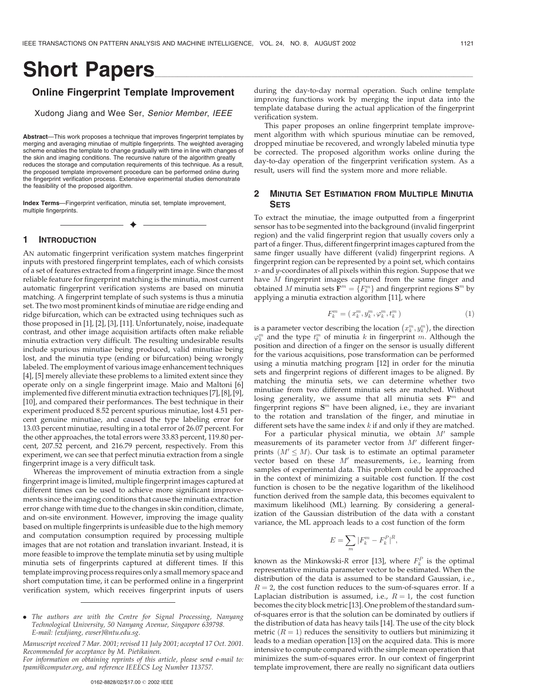# **Short Papers**

## **Online Fingerprint Template Improvement**

Xudong Jiang and Wee Ser, Senior Member, IEEE

Abstract-This work proposes a technique that improves fingerprint templates by merging and averaging minutiae of multiple fingerprints. The weighted averaging scheme enables the template to change gradually with time in line with changes of the skin and imaging conditions. The recursive nature of the algorithm greatly reduces the storage and computation requirements of this technique. As a result, the proposed template improvement procedure can be performed online during the fingerprint verification process. Extensive experimental studies demonstrate the feasibility of the proposed algorithm.

Index Terms-Fingerprint verification, minutia set, template improvement, multiple fingerprints.

#### 1 **INTRODUCTION**

AN automatic fingerprint verification system matches fingerprint inputs with prestored fingerprint templates, each of which consists of a set of features extracted from a fingerprint image. Since the most reliable feature for fingerprint matching is the minutia, most current automatic fingerprint verification systems are based on minutia matching. A fingerprint template of such systems is thus a minutia set. The two most prominent kinds of minutiae are ridge ending and ridge bifurcation, which can be extracted using techniques such as those proposed in [1], [2], [3], [11]. Unfortunately, noise, inadequate contrast, and other image acquisition artifacts often make reliable minutia extraction very difficult. The resulting undesirable results include spurious minutiae being produced, valid minutiae being lost, and the minutia type (ending or bifurcation) being wrongly labeled. The employment of various image enhancement techniques [4], [5] merely alleviate these problems to a limited extent since they operate only on a single fingerprint image. Maio and Maltoni [6] implemented five different minutia extraction techniques [7], [8], [9], [10], and compared their performances. The best technique in their experiment produced 8.52 percent spurious minutiae, lost 4.51 percent genuine minutiae, and caused the type labeling error for 13.03 percent minutiae, resulting in a total error of 26.07 percent. For the other approaches, the total errors were 33.83 percent, 119.80 percent, 207.52 percent, and 216.79 percent, respectively. From this experiment, we can see that perfect minutia extraction from a single fingerprint image is a very difficult task.

Whereas the improvement of minutia extraction from a single fingerprint image is limited, multiple fingerprint images captured at different times can be used to achieve more significant improvements since the imaging conditions that cause the minutia extraction error change with time due to the changes in skin condition, climate, and on-site environment. However, improving the image quality based on multiple fingerprints is unfeasible due to the high memory and computation consumption required by processing multiple images that are not rotation and translation invariant. Instead, it is more feasible to improve the template minutia set by using multiple minutia sets of fingerprints captured at different times. If this template improving process requires only a small memory space and short computation time, it can be performed online in a fingerprint verification system, which receives fingerprint inputs of users

This paper proposes an online fingerprint template improvement algorithm with which spurious minutiae can be removed, dropped minutiae be recovered, and wrongly labeled minutia type be corrected. The proposed algorithm works online during the day-to-day operation of the fingerprint verification system. As a result, users will find the system more and more reliable.

### $\mathbf{2}$ **MINUTIA SET ESTIMATION FROM MULTIPLE MINUTIA SETS**

To extract the minutiae, the image outputted from a fingerprint sensor has to be segmented into the background (invalid fingerprint region) and the valid fingerprint region that usually covers only a part of a finger. Thus, different fingerprint images captured from the same finger usually have different (valid) fingerprint regions. A fingerprint region can be represented by a point set, which contains x- and y-coordinates of all pixels within this region. Suppose that we have  $M$  fingerprint images captured from the same finger and obtained M minutia sets  $\mathbf{F}^m = \{F_k^m\}$  and fingerprint regions  $\mathbf{S}^m$  by applying a minutia extraction algorithm [11], where

$$
F_k^m = (x_k^m, y_k^m, \varphi_k^m, t_k^m)
$$
\n(1)

is a parameter vector describing the location  $(x_k^m, y_k^m)$ , the direction  $\varphi_k^m$  and the type  $t_k^m$  of minutia k in fingerprint m. Although the position and direction of a finger on the sensor is usually different for the various acquisitions, pose transformation can be performed using a minutia matching program [12] in order for the minutia sets and fingerprint regions of different images to be aligned. By matching the minutia sets, we can determine whether two minutiae from two different minutia sets are matched. Without losing generality, we assume that all minutia sets  $\mathbf{F}^m$  and fingerprint regions  $S<sup>m</sup>$  have been aligned, i.e., they are invariant to the rotation and translation of the finger, and minutiae in different sets have the same index  $k$  if and only if they are matched.

For a particular physical minutia, we obtain  $M'$  sample measurements of its parameter vector from  $M'$  different fingerprints  $(M' \leq M)$ . Our task is to estimate an optimal parameter vector based on these  $M'$  measurements, i.e., learning from samples of experimental data. This problem could be approached in the context of minimizing a suitable cost function. If the cost function is chosen to be the negative logarithm of the likelihood function derived from the sample data, this becomes equivalent to maximum likelihood (ML) learning. By considering a generalization of the Gaussian distribution of the data with a constant variance, the ML approach leads to a cost function of the form

$$
E = \sum_{m} |F_k^m - F_k^P|^R,
$$

known as the Minkowski-R error [13], where  $F_k^P$  is the optimal representative minutia parameter vector to be estimated. When the distribution of the data is assumed to be standard Gaussian, i.e.,  $R = 2$ , the cost function reduces to the sum-of-squares error. If a Laplacian distribution is assumed, i.e.,  $R = 1$ , the cost function becomes the city block metric [13]. One problem of the standard sumof-squares error is that the solution can be dominated by outliers if the distribution of data has heavy tails [14]. The use of the city block metric  $(R = 1)$  reduces the sensitivity to outliers but minimizing it leads to a median operation [13] on the acquired data. This is more intensive to compute compared with the simple mean operation that minimizes the sum-of-squares error. In our context of fingerprint template improvement, there are really no significant data outliers

<sup>•</sup> The authors are with the Centre for Signal Processing, Nanyang Technological University, 50 Nanyang Avenue, Singapore 639798. E-mail: {exdjiang, ewser}@ntu.edu.sg.

Manuscript received 7 Mar. 2001; revised 11 July 2001; accepted 17 Oct. 2001. Recommended for acceptance by M. Pietikainen.

For information on obtaining reprints of this article, please send e-mail to: tpami@computer.org, and reference IEEECS Log Number 113757.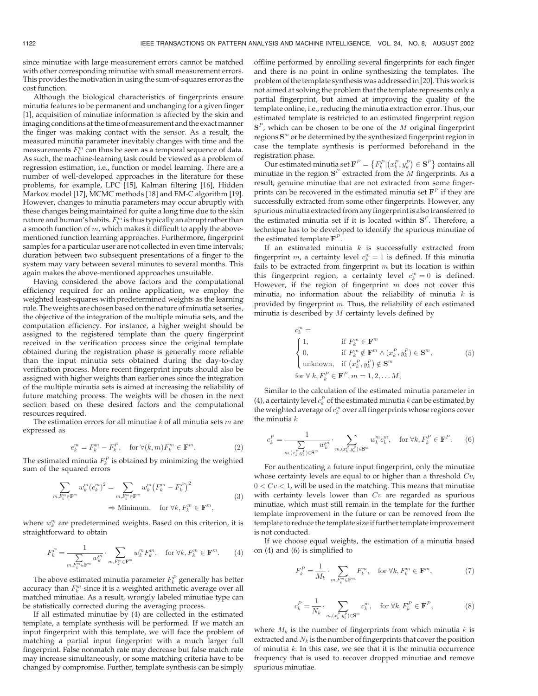since minutiae with large measurement errors cannot be matched with other corresponding minutiae with small measurement errors. This provides the motivation in using the sum-of-squares error as the cost function.

Although the biological characteristics of fingerprints ensure minutia features to be permanent and unchanging for a given finger [1], acquisition of minutiae information is affected by the skin and imaging conditions at the time of measurement and the exact manner the finger was making contact with the sensor. As a result, the measured minutia parameter inevitably changes with time and the measurements  $F_k^m$  can thus be seen as a temporal sequence of data. As such, the machine-learning task could be viewed as a problem of regression estimation, i.e., function or model learning. There are a number of well-developed approaches in the literature for these problems, for example, LPC [15], Kalman filtering [16], Hidden Markov model [17], MCMC methods [18] and EM-C algorithm [19]. However, changes to minutia parameters may occur abruptly with these changes being maintained for quite a long time due to the skin nature and human's habits.  $F_k^m$  is thus typically an abrupt rather than a smooth function of  $m$ , which makes it difficult to apply the abovementioned function learning approaches. Furthermore, fingerprint samples for a particular user are not collected in even time intervals; duration between two subsequent presentations of a finger to the system may vary between several minutes to several months. This again makes the above-mentioned approaches unsuitable.

Having considered the above factors and the computational efficiency required for an online application, we employ the weighted least-squares with predetermined weights as the learning rule. The weights are chosen based on the nature of minutia set series, the objective of the integration of the multiple minutia sets, and the computation efficiency. For instance, a higher weight should be assigned to the registered template than the query fingerprint received in the verification process since the original template obtained during the registration phase is generally more reliable than the input minutia sets obtained during the day-to-day verification process. More recent fingerprint inputs should also be assigned with higher weights than earlier ones since the integration of the multiple minutia sets is aimed at increasing the reliability of future matching process. The weights will be chosen in the next section based on these desired factors and the computational resources required.

The estimation errors for all minutiae  $k$  of all minutia sets  $m$  are expressed as

$$
e_k^m = F_k^m - F_k^P, \quad \text{for } \forall (k, m) F_k^m \in \mathbf{F}^m. \tag{2}
$$

The estimated minutia  $F_k^P$  is obtained by minimizing the weighted sum of the squared errors

$$
\sum_{m,F_k^m \in \mathbf{F}^m} w_k^m (e_k^m)^2 = \sum_{m,F_k^m \in \mathbf{F}^m} w_k^m (F_k^m - F_k^P)^2
$$
\n
$$
\Rightarrow \text{Minimum}, \quad \text{for } \forall k, F_k^m \in \mathbf{F}^m,
$$
\n(3)

where  $w_k^m$  are predetermined weights. Based on this criterion, it is straightforward to obtain

$$
F_k^P = \frac{1}{\sum_{m,F_k^m \in \mathbf{F}^m} w_k^m} \cdot \sum_{m,F_k^m \in \mathbf{F}^m} w_k^m F_k^m, \quad \text{for } \forall k, F_k^m \in \mathbf{F}^m. \tag{4}
$$

The above estimated minutia parameter  $F_k^P$  generally has better accuracy than  $F_k^m$  since it is a weighted arithmetic average over all matched minutiae. As a result, wrongly labeled minutiae type can be statistically corrected during the averaging process.

If all estimated minutiae by (4) are collected in the estimated template, a template synthesis will be performed. If we match an input fingerprint with this template, we will face the problem of matching a partial input fingerprint with a much larger full fingerprint. False nonmatch rate may decrease but false match rate may increase simultaneously, or some matching criteria have to be changed by compromise. Further, template synthesis can be simply

offline performed by enrolling several fingerprints for each finger and there is no point in online synthesizing the templates. The problem of the template synthesis was addressed in [20]. This work is not aimed at solving the problem that the template represents only a partial fingerprint, but aimed at improving the quality of the template online, i.e., reducing the minutia extraction error. Thus, our estimated template is restricted to an estimated fingerprint region  $S<sup>P</sup>$ , which can be chosen to be one of the M original fingerprint regions  $S<sup>m</sup>$  or be determined by the synthesized fingerprint region in case the template synthesis is performed beforehand in the registration phase.

Our estimated minutia set  $\mathbf{F}^P = \{F_k^P | (x_k^P, y_k^P) \in \mathbf{S}^P\}$  contains all minutiae in the region  $S^P$  extracted from the M fingerprints. As a result, genuine minutiae that are not extracted from some fingerprints can be recovered in the estimated minutia set  $F<sup>P</sup>$  if they are successfully extracted from some other fingerprints. However, any spurious minutia extracted from any fingerprint is also transferred to the estimated minutia set if it is located within  $S<sup>P</sup>$ . Therefore, a technique has to be developed to identify the spurious minutiae of the estimated template  $\mathbf{F}^{P}$ .

If an estimated minutia  $k$  is successfully extracted from fingerprint m, a certainty level  $c_k^m = 1$  is defined. If this minutia fails to be extracted from fingerprint  $m$  but its location is within this fingerprint region, a certainty level  $c_k^m = 0$  is defined. However, if the region of fingerprint  $m$  does not cover this minutia, no information about the reliability of minutia  $k$  is provided by fingerprint  $m$ . Thus, the reliability of each estimated minutia is described by  $M$  certainty levels defined by

$$
c_k^m =
$$
\n
$$
\begin{cases}\n1, & \text{if } F_k^m \in \mathbf{F}^m \\
0, & \text{if } F_k^m \notin \mathbf{F}^m \wedge (x_k^P, y_k^P) \in \mathbf{S}^m, \\
\text{unknown}, & \text{if } (x_k^P, y_k^P) \notin \mathbf{S}^m\n\end{cases}
$$
\n
$$
\text{for } \forall k, F_k^P \in \mathbf{F}^P, m = 1, 2, \dots M,
$$
\n(5)

Similar to the calculation of the estimated minutia parameter in (4), a certainty level  $c_k^P$  of the estimated minutia k can be estimated by the weighted average of  $c_k^m$  over all fingerprints whose regions cover the minutia  $k$ 

$$
c_k^P = \frac{1}{\sum_{m,(x_k^P,y_k^P) \in \mathbf{S}^m} w_k^m} \cdot \sum_{m,(x_k^P,y_k^P) \in \mathbf{S}^m} w_k^m c_k^m, \quad \text{for } \forall k, F_k^P \in \mathbf{F}^P. \tag{6}
$$

For authenticating a future input fingerprint, only the minutiae whose certainty levels are equal to or higher than a threshold  $Cv$ ,  $0 < Cv < 1$ , will be used in the matching. This means that minutiae with certainty levels lower than  $Cv$  are regarded as spurious minutiae, which must still remain in the template for the further template improvement in the future or can be removed from the template to reduce the template size if further template improvement is not conducted.

If we choose equal weights, the estimation of a minutia based on  $(4)$  and  $(6)$  is simplified to

$$
F_k^P = \frac{1}{M_k} \cdot \sum_{m, F_k^m \in \mathbf{F}^m} F_k^m, \quad \text{for } \forall k, F_k^m \in \mathbf{F}^m,
$$
 (7)

$$
c_k^P = \frac{1}{N_k} \cdot \sum_{m,(x_k^P,y_k^P) \in \mathbf{S}^m} c_k^m, \quad \text{for } \forall k, F_k^P \in \mathbf{F}^P,
$$
 (8)

where  $M_k$  is the number of fingerprints from which minutia  $k$  is extracted and  $N_k$  is the number of fingerprints that cover the position of minutia  $k$ . In this case, we see that it is the minutia occurrence frequency that is used to recover dropped minutiae and remove spurious minutiae.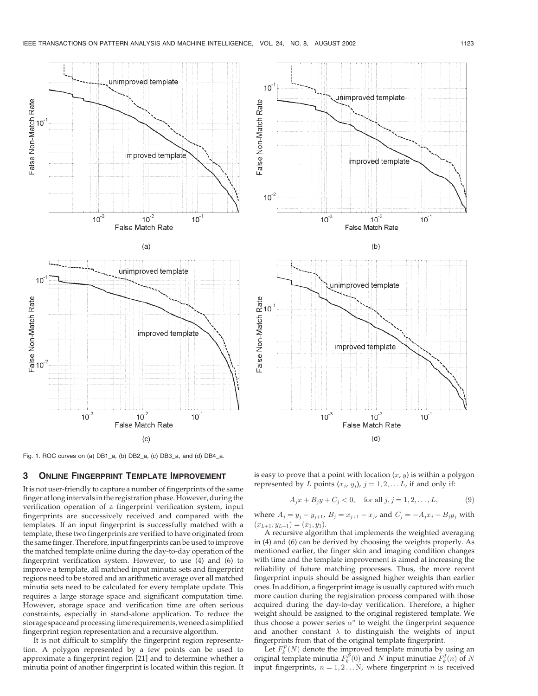

Fig. 1. ROC curves on (a) DB1\_a, (b) DB2\_a, (c) DB3\_a, and (d) DB4\_a.

#### 3 **ONLINE FINGERPRINT TEMPLATE IMPROVEMENT**

It is not user-friendly to capture a number of fingerprints of the same finger at long intervals in the registration phase. However, during the verification operation of a fingerprint verification system, input fingerprints are successively received and compared with the templates. If an input fingerprint is successfully matched with a template, these two fingerprints are verified to have originated from the same finger. Therefore, input fingerprints can be used to improve the matched template online during the day-to-day operation of the fingerprint verification system. However, to use (4) and (6) to improve a template, all matched input minutia sets and fingerprint regions need to be stored and an arithmetic average over all matched minutia sets need to be calculated for every template update. This requires a large storage space and significant computation time. However, storage space and verification time are often serious constraints, especially in stand-alone application. To reduce the storage space and processing time requirements, we need a simplified fingerprint region representation and a recursive algorithm.

It is not difficult to simplify the fingerprint region representation. A polygon represented by a few points can be used to approximate a fingerprint region [21] and to determine whether a minutia point of another fingerprint is located within this region. It is easy to prove that a point with location  $(x, y)$  is within a polygon represented by L points  $(x_i, y_i)$ ,  $j = 1, 2, \dots L$ , if and only if:

$$
A_j x + B_j y + C_j < 0, \quad \text{for all } j, j = 1, 2, \dots, L,\tag{9}
$$

where  $A_j = y_j - y_{j+1}$ ,  $B_j = x_{j+1} - x_j$ , and  $C_j = -A_j x_j - B_j y_j$  with  $(x_{L+1}, y_{L+1}) = (x_1, y_1).$ 

A recursive algorithm that implements the weighted averaging in (4) and (6) can be derived by choosing the weights properly. As mentioned earlier, the finger skin and imaging condition changes with time and the template improvement is aimed at increasing the reliability of future matching processes. Thus, the more recent fingerprint inputs should be assigned higher weights than earlier ones. In addition, a fingerprint image is usually captured with much more caution during the registration process compared with those acquired during the day-to-day verification. Therefore, a higher weight should be assigned to the original registered template. We thus choose a power series  $\alpha^n$  to weight the fingerprint sequence and another constant  $\lambda$  to distinguish the weights of input fingerprints from that of the original template fingerprint.

Let  $F_k^P(N)$  denote the improved template minutia by using an original template minutia  $F_k^P(0)$  and N input minutiae  $F_k^I(n)$  of N input fingerprints,  $n = 1, 2...N$ , where fingerprint *n* is received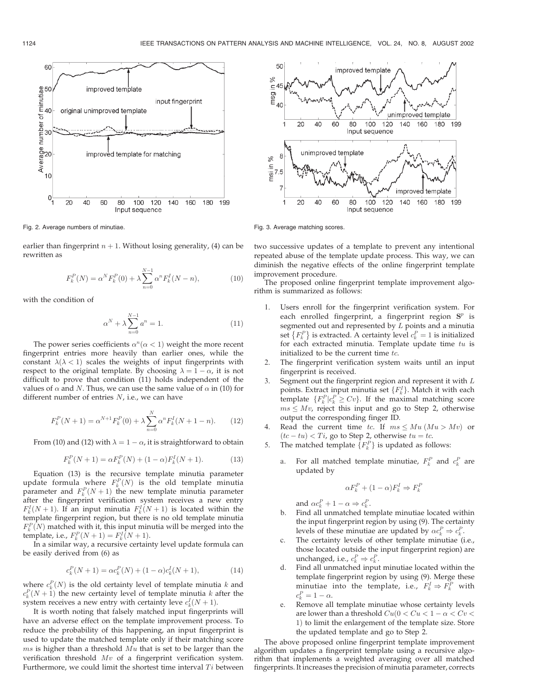

Fig. 2. Average numbers of minutiae.

earlier than fingerprint  $n + 1$ . Without losing generality, (4) can be rewritten as

$$
F_k^P(N) = \alpha^N F_k^P(0) + \lambda \sum_{n=0}^{N-1} \alpha^n F_k^I(N-n), \qquad (10)
$$

with the condition of

$$
\alpha^N + \lambda \sum_{n=0}^{N-1} a^n = 1.
$$
\n
$$
(11)
$$

The power series coefficients  $\alpha^n(\alpha < 1)$  weight the more recent fingerprint entries more heavily than earlier ones, while the constant  $\lambda(\lambda < 1)$  scales the weights of input fingerprints with respect to the original template. By choosing  $\lambda = 1 - \alpha$ , it is not difficult to prove that condition (11) holds independent of the values of  $\alpha$  and N. Thus, we can use the same value of  $\alpha$  in (10) for different number of entries  $N$ , i.e., we can have

$$
F_k^P(N+1) = \alpha^{N+1} F_k^P(0) + \lambda \sum_{n=0}^{N} \alpha^n F_k^I(N+1-n). \tag{12}
$$

From (10) and (12) with  $\lambda = 1 - \alpha$ , it is straightforward to obtain

$$
F_k^P(N+1) = \alpha F_k^P(N) + (1-\alpha)F_k^I(N+1).
$$
 (13)

Equation (13) is the recursive template minutia parameter update formula where  $F_k^P(N)$  is the old template minutia parameter and  $F_k^P(N + 1)$  the new template minutia parameter after the fingerprint verification system receives a new entry  $F_k^I(N+1)$ . If an input minutia  $F_k^I(N+1)$  is located within the template fingerprint region, but there is no old template minutia  $F_k^P(N)$  matched with it, this input minutia will be merged into the template, i.e.,  $F_k^P(N + 1) = F_k^I(N + 1)$ .

In a similar way, a recursive certainty level update formula can be easily derived from (6) as

$$
c_k^P(N+1) = \alpha c_k^P(N) + (1 - \alpha)c_k^I(N+1),\tag{14}
$$

where  $c_k^P(N)$  is the old certainty level of template minutia k and  $c_k^P(N+1)$  the new certainty level of template minutia k after the system receives a new entry with certainty leve  $c_k^I(N + 1)$ .

It is worth noting that falsely matched input fingerprints will have an adverse effect on the template improvement process. To reduce the probability of this happening, an input fingerprint is used to update the matched template only if their matching score  $ms$  is higher than a threshold  $Mu$  that is set to be larger than the verification threshold  $Mv$  of a fingerprint verification system. Furthermore, we could limit the shortest time interval  $Ti$  between



Fig. 3. Average matching scores.

two successive updates of a template to prevent any intentional repeated abuse of the template update process. This way, we can diminish the negative effects of the online fingerprint template improvement procedure.

The proposed online fingerprint template improvement algorithm is summarized as follows:

- 1. Users enroll for the fingerprint verification system. For each enrolled fingerprint, a fingerprint region  $S<sup>p</sup>$  is segmented out and represented by  $L$  points and a minutia set  ${F_k^P}$  is extracted. A certainty level  $c_k^P = 1$  is initialized for each extracted minutia. Template update time  $tu$  is initialized to be the current time tc.
- $2.$ The fingerprint verification system waits until an input fingerprint is received.
- Segment out the fingerprint region and represent it with  $L$  $3<sub>1</sub>$ points. Extract input minutia set  ${F_k^I}$ . Match it with each template  ${F_k^P|c_k^P \geq Cv}$ . If the maximal matching score  $ms \leq Mv$ , reject this input and go to Step 2, otherwise output the corresponding finger ID.
- Read the current time tc. If  $ms \leq Mu$  ( $Mu > Mv$ ) or  $(tc - tu) < Ti$ , go to Step 2, otherwise  $tu = tc$ .
- The matched template  $\{F_k^P\}$  is updated as follows: 5.
	- For all matched template minutiae,  $F_k^P$  and  $c_k^P$  are updated by

$$
\alpha F_k^P + (1 - \alpha) F_k^I \Rightarrow F_k^P
$$

and  $\alpha c_k^P + 1 - \alpha \Rightarrow c_k^P$ .

- Find all unmatched template minutiae located within the input fingerprint region by using (9). The certainty levels of these minutiae are updated by  $\alpha c_k^P \Rightarrow c_k^P$ .
- The certainty levels of other template minutiae (i.e., those located outside the input fingerprint region) are unchanged, i.e.,  $c_k^P \Rightarrow c_k^P$ .
- Find all unmatched input minutiae located within the d. template fingerprint region by using (9). Merge these minutiae into the template, i.e.,  $F_k^I \Rightarrow F_k^P$  with  $c_k^P=1-\alpha.$
- Remove all template minutiae whose certainty levels e. are lower than a threshold  $Cu$  ( $0 < Cu < 1 - \alpha < Cv <$ 1) to limit the enlargement of the template size. Store the updated template and go to Step 2.

The above proposed online fingerprint template improvement algorithm updates a fingerprint template using a recursive algorithm that implements a weighted averaging over all matched fingerprints. It increases the precision of minutia parameter, corrects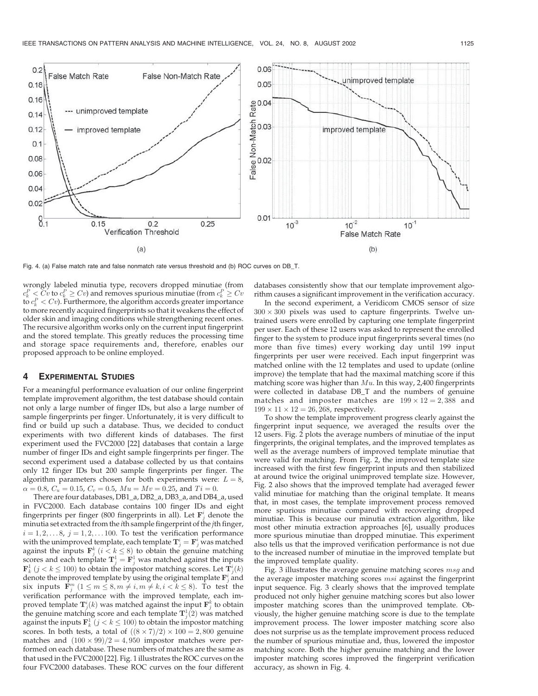

Fig. 4. (a) False match rate and false nonmatch rate versus threshold and (b) ROC curves on DB\_T.

wrongly labeled minutia type, recovers dropped minutiae (from  $c_k^P < Cv$  to  $c_k^P \ge Cv$ ) and removes spurious minutiae (from  $c_k^P \ge Cv$ to  $c_k^P < Cv$ ). Furthermore, the algorithm accords greater importance to more recently acquired fingerprints so that it weakens the effect of older skin and imaging conditions while strengthening recent ones. The recursive algorithm works only on the current input fingerprint and the stored template. This greatly reduces the processing time and storage space requirements and, therefore, enables our proposed approach to be online employed.

#### 4 **EXPERIMENTAL STUDIES**

For a meaningful performance evaluation of our online fingerprint template improvement algorithm, the test database should contain not only a large number of finger IDs, but also a large number of sample fingerprints per finger. Unfortunately, it is very difficult to find or build up such a database. Thus, we decided to conduct experiments with two different kinds of databases. The first experiment used the FVC2000 [22] databases that contain a large number of finger IDs and eight sample fingerprints per finger. The second experiment used a database collected by us that contains only 12 finger IDs but 200 sample fingerprints per finger. The algorithm parameters chosen for both experiments were:  $L = 8$ ,  $\alpha = 0.8$ ,  $C_u = 0.15$ ,  $C_v = 0.5$ ,  $Mu = Mv = 0.25$ , and  $Ti = 0$ .

There are four databases, DB1\_a, DB2\_a, DB3\_a, and DB4\_a, used in FVC2000. Each database contains 100 finger IDs and eight fingerprints per finger (800 fingerprints in all). Let  $\mathbf{F}_i^i$  denote the minutia set extracted from the *i*th sample fingerprint of the *j*th finger,  $i = 1, 2, \dots 8$ ,  $j = 1, 2, \dots 100$ . To test the verification performance with the unimproved template, each template  $\mathbf{T}_i^i = \mathbf{F}_i^i$  was matched against the inputs  $\mathbf{F}_i^k$  ( $i < k \leq 8$ ) to obtain the genuine matching scores and each template  $\mathbf{T}_i^1 = \mathbf{F}_i^1$  was matched against the inputs  ${\bf F}_k^1$  ( $j < k \le 100$ ) to obtain the impostor matching scores. Let  ${\bf T}_j^i(k)$ denote the improved template by using the original template  $\mathbf{F}_i^i$  and six inputs  $\mathbf{F}_i^m$   $(1 \leq m \leq 8, m \neq i, m \neq k, i < k \leq 8)$ . To test the verification performance with the improved template, each improved template  $\mathbf{T}_{i}^{i}(k)$  was matched against the input  $\mathbf{F}_{i}^{k}$  to obtain the genuine matching score and each template  $\mathbf{T}_i^1(2)$  was matched against the inputs  $\mathbf{F}_k^1$   $(j < k \leq 100)$  to obtain the impostor matching scores. In both tests, a total of  $((8 \times 7)/2) \times 100 = 2,800$  genuine matches and  $(100 \times 99)/2 = 4,950$  impostor matches were performed on each database. These numbers of matches are the same as that used in the FVC2000 [22]. Fig. 1 illustrates the ROC curves on the four FVC2000 databases. These ROC curves on the four different

databases consistently show that our template improvement algorithm causes a significant improvement in the verification accuracy.

In the second experiment, a Veridicom CMOS sensor of size  $300 \times 300$  pixels was used to capture fingerprints. Twelve untrained users were enrolled by capturing one template fingerprint per user. Each of these 12 users was asked to represent the enrolled finger to the system to produce input fingerprints several times (no more than five times) every working day until 199 input fingerprints per user were received. Each input fingerprint was matched online with the 12 templates and used to update (online improve) the template that had the maximal matching score if this matching score was higher than  $Mu$ . In this way, 2,400 fingerprints were collected in database DB\_T and the numbers of genuine matches and imposter matches are  $199 \times 12 = 2,388$  and  $199 \times 11 \times 12 = 26,268$ , respectively.

To show the template improvement progress clearly against the fingerprint input sequence, we averaged the results over the 12 users. Fig. 2 plots the average numbers of minutiae of the input fingerprints, the original templates, and the improved templates as well as the average numbers of improved template minutiae that were valid for matching. From Fig. 2, the improved template size increased with the first few fingerprint inputs and then stabilized at around twice the original unimproved template size. However, Fig. 2 also shows that the improved template had averaged fewer valid minutiae for matching than the original template. It means that, in most cases, the template improvement process removed more spurious minutiae compared with recovering dropped minutiae. This is because our minutia extraction algorithm, like most other minutia extraction approaches [6], usually produces more spurious minutiae than dropped minutiae. This experiment also tells us that the improved verification performance is not due to the increased number of minutiae in the improved template but the improved template quality.

Fig. 3 illustrates the average genuine matching scores  $msg$  and the average imposter matching scores  $msi$  against the fingerprint input sequence. Fig. 3 clearly shows that the improved template produced not only higher genuine matching scores but also lower imposter matching scores than the unimproved template. Obviously, the higher genuine matching score is due to the template improvement process. The lower imposter matching score also does not surprise us as the template improvement process reduced the number of spurious minutiae and, thus, lowered the impostor matching score. Both the higher genuine matching and the lower imposter matching scores improved the fingerprint verification accuracy, as shown in Fig. 4.